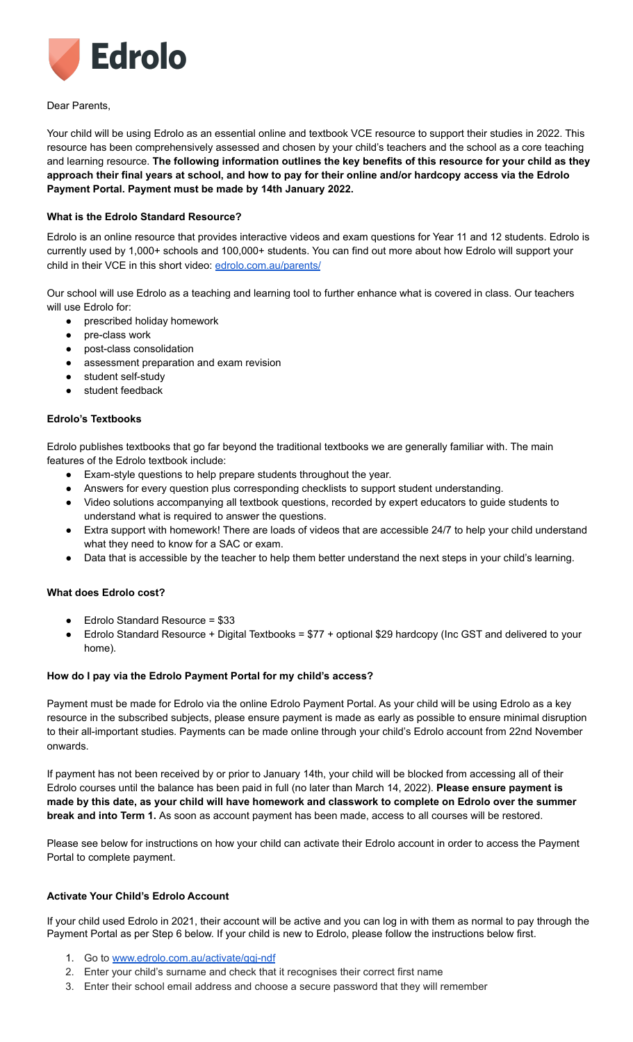

Dear Parents,

Your child will be using Edrolo as an essential online and textbook VCE resource to support their studies in 2022. This resource has been comprehensively assessed and chosen by your child's teachers and the school as a core teaching and learning resource. **The following information outlines the key benefits of this resource for your child as they** approach their final years at school, and how to pay for their online and/or hardcopy access via the Edrolo **Payment Portal. Payment must be made by 14th January 2022.**

# **What is the Edrolo Standard Resource?**

Edrolo is an online resource that provides interactive videos and exam questions for Year 11 and 12 students. Edrolo is currently used by 1,000+ schools and 100,000+ students. You can find out more about how Edrolo will support your child in their VCE in this short video: [edrolo.com.au/parents/](http://edrolo.com.au/parents/)

Our school will use Edrolo as a teaching and learning tool to further enhance what is covered in class. Our teachers will use Edrolo for:

- prescribed holiday homework
- pre-class work
- post-class consolidation
- assessment preparation and exam revision
- student self-study
- student feedback

## **Edrolo's Textbooks**

Edrolo publishes textbooks that go far beyond the traditional textbooks we are generally familiar with. The main features of the Edrolo textbook include:

- Exam-style questions to help prepare students throughout the year.
- Answers for every question plus corresponding checklists to support student understanding.
- Video solutions accompanying all textbook questions, recorded by expert educators to guide students to understand what is required to answer the questions.
- Extra support with homework! There are loads of videos that are accessible 24/7 to help your child understand what they need to know for a SAC or exam.
- Data that is accessible by the teacher to help them better understand the next steps in your child's learning.

## **What does Edrolo cost?**

- Edrolo Standard Resource = \$33
- Edrolo Standard Resource + Digital Textbooks = \$77 + optional \$29 hardcopy (Inc GST and delivered to your home).

## **How do I pay via the Edrolo Payment Portal for my child's access?**

Payment must be made for Edrolo via the online Edrolo Payment Portal. As your child will be using Edrolo as a key resource in the subscribed subjects, please ensure payment is made as early as possible to ensure minimal disruption to their all-important studies. Payments can be made online through your child's Edrolo account from 22nd November onwards.

If payment has not been received by or prior to January 14th, your child will be blocked from accessing all of their Edrolo courses until the balance has been paid in full (no later than March 14, 2022). **Please ensure payment is** made by this date, as your child will have homework and classwork to complete on Edrolo over the summer **break and into Term 1.** As soon as account payment has been made, access to all courses will be restored.

Please see below for instructions on how your child can activate their Edrolo account in order to access the Payment Portal to complete payment.

## **Activate Your Child's Edrolo Account**

If your child used Edrolo in 2021, their account will be active and you can log in with them as normal to pay through the Payment Portal as per Step 6 below. If your child is new to Edrolo, please follow the instructions below first.

- 1. Go to [www.edrolo.com.au/activate/gqj-ndf](http://www.edrolo.com.au/activate/gqj-ndf)
- 2. Enter your child's surname and check that it recognises their correct first name
- 3. Enter their school email address and choose a secure password that they will remember